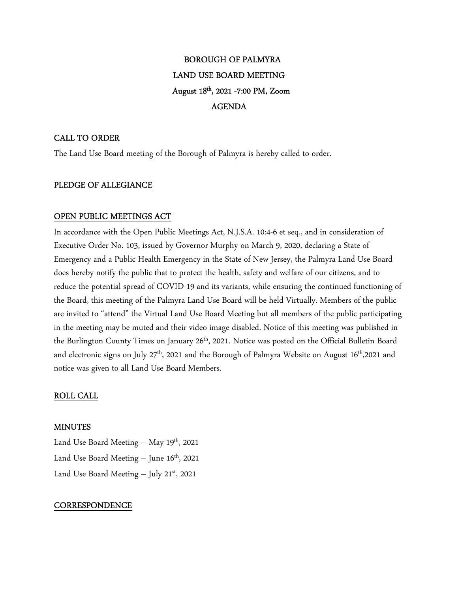# BOROUGH OF PALMYRA LAND USE BOARD MEETING August 18th , 2021 -7:00 PM, Zoom AGENDA

## CALL TO ORDER

The Land Use Board meeting of the Borough of Palmyra is hereby called to order.

## PLEDGE OF ALLEGIANCE

## OPEN PUBLIC MEETINGS ACT

In accordance with the Open Public Meetings Act, N.J.S.A. 10:4-6 et seq., and in consideration of Executive Order No. 103, issued by Governor Murphy on March 9, 2020, declaring a State of Emergency and a Public Health Emergency in the State of New Jersey, the Palmyra Land Use Board does hereby notify the public that to protect the health, safety and welfare of our citizens, and to reduce the potential spread of COVID-19 and its variants, while ensuring the continued functioning of the Board, this meeting of the Palmyra Land Use Board will be held Virtually. Members of the public are invited to "attend" the Virtual Land Use Board Meeting but all members of the public participating in the meeting may be muted and their video image disabled. Notice of this meeting was published in the Burlington County Times on January 26<sup>th</sup>, 2021. Notice was posted on the Official Bulletin Board and electronic signs on July  $27<sup>th</sup>$ , 2021 and the Borough of Palmyra Website on August  $16<sup>th</sup>$ ,2021 and notice was given to all Land Use Board Members.

## ROLL CALL

#### MINUTES

Land Use Board Meeting  $-$  May 19<sup>th</sup>, 2021 Land Use Board Meeting  $-$  June 16<sup>th</sup>, 2021 Land Use Board Meeting  $-$  July 21st, 2021

#### **CORRESPONDENCE**